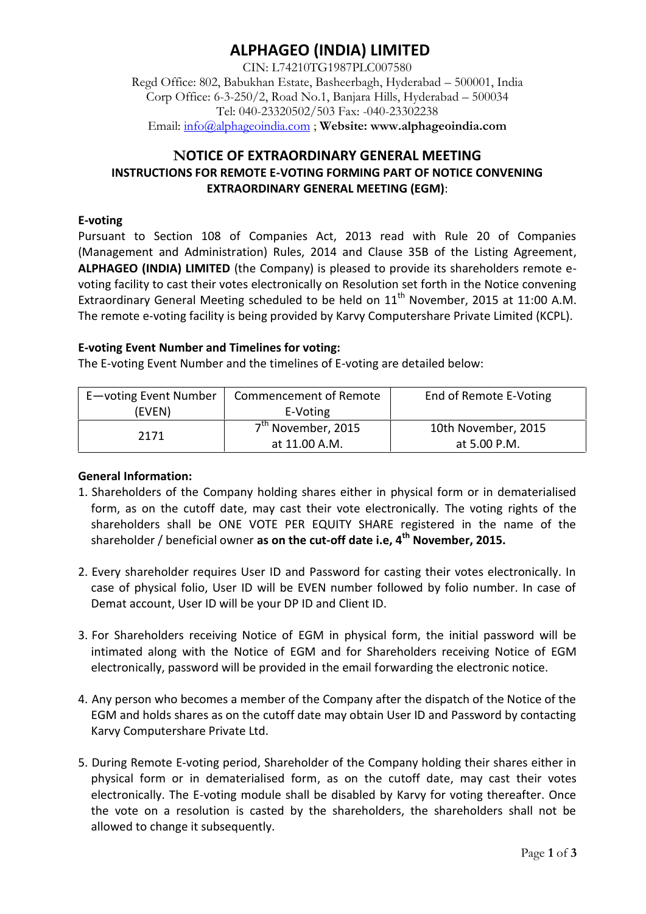# **ALPHAGEO (INDIA) LIMITED**

CIN: L74210TG1987PLC007580 Regd Office: 802, Babukhan Estate, Basheerbagh, Hyderabad – 500001, India Corp Office: 6-3-250/2, Road No.1, Banjara Hills, Hyderabad – 500034 Tel: 040-23320502/503 Fax: -040-23302238 Email: info@alphageoindia.com ; **Website: www.alphageoindia.com**

## **NOTICE OF EXTRAORDINARY GENERAL MEETING INSTRUCTIONS FOR REMOTE E-VOTING FORMING PART OF NOTICE CONVENING EXTRAORDINARY GENERAL MEETING (EGM)**:

### **E-voting**

Pursuant to Section 108 of Companies Act, 2013 read with Rule 20 of Companies (Management and Administration) Rules, 2014 and Clause 35B of the Listing Agreement, **ALPHAGEO (INDIA) LIMITED** (the Company) is pleased to provide its shareholders remote e voting facility to cast their votes electronically on Resolution set forth in the Notice convening Extraordinary General Meeting scheduled to be held on  $11<sup>th</sup>$  November, 2015 at 11:00 A.M. The remote e-voting facility is being provided by Karvy Computershare Private Limited (KCPL).

### **E-voting Event Number and Timelines for voting:**

The E-voting Event Number and the timelines of E-voting are detailed below:

| E-voting Event Number | Commencement of Remote         | End of Remote E-Voting |
|-----------------------|--------------------------------|------------------------|
| (EVEN)                | E-Voting                       |                        |
| 2171                  | 7 <sup>th</sup> November, 2015 | 10th November, 2015    |
|                       | at 11.00 A.M.                  | at 5.00 P.M.           |

### **General Information:**

- 1. Shareholders of the Company holding shares either in physical form or in dematerialised form, as on the cutoff date, may cast their vote electronically. The voting rights of the shareholders shall be ONE VOTE PER EQUITY SHARE registered in the name of the shareholder / beneficial owner **as on the cut-off date i.e, 4 th November, 2015.**
- 2. Every shareholder requires User ID and Password for casting their votes electronically. In case of physical folio, User ID will be EVEN number followed by folio number. In case of Demat account, User ID will be your DP ID and Client ID.
- 3. For Shareholders receiving Notice of EGM in physical form, the initial password will be intimated along with the Notice of EGM and for Shareholders receiving Notice of EGM electronically, password will be provided in the email forwarding the electronic notice.
- 4. Any person who becomes a member of the Company after the dispatch of the Notice of the EGM and holds shares as on the cutoff date may obtain User ID and Password by contacting Karvy Computershare Private Ltd.
- 5. During Remote E-voting period, Shareholder of the Company holding their shares either in physical form or in dematerialised form, as on the cutoff date, may cast their votes electronically. The E-voting module shall be disabled by Karvy for voting thereafter. Once the vote on a resolution is casted by the shareholders, the shareholders shall not be allowed to change it subsequently.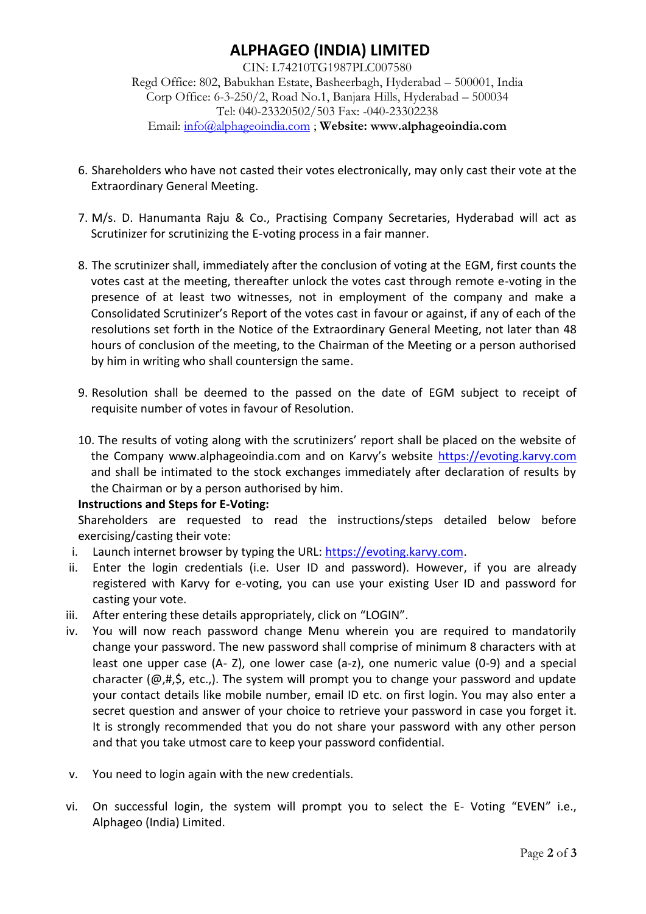# **ALPHAGEO (INDIA) LIMITED**

CIN: L74210TG1987PLC007580 Regd Office: 802, Babukhan Estate, Basheerbagh, Hyderabad – 500001, India Corp Office: 6-3-250/2, Road No.1, Banjara Hills, Hyderabad – 500034 Tel: 040-23320502/503 Fax: -040-23302238 Email: info@alphageoindia.com ; **Website: www.alphageoindia.com**

- 6. Shareholders who have not casted their votes electronically, may only cast their vote at the Extraordinary General Meeting.
- 7. M/s. D. Hanumanta Raju & Co., Practising Company Secretaries, Hyderabad will act as Scrutinizer for scrutinizing the E-voting process in a fair manner.
- 8. The scrutinizer shall, immediately after the conclusion of voting at the EGM, first counts the votes cast at the meeting, thereafter unlock the votes cast through remote e-voting in the presence of at least two witnesses, not in employment of the company and make a Consolidated Scrutinizer's Report of the votes cast in favour or against, if any of each of the resolutions set forth in the Notice of the Extraordinary General Meeting, not later than 48 hours of conclusion of the meeting, to the Chairman of the Meeting or a person authorised by him in writing who shall countersign the same.
- 9. Resolution shall be deemed to the passed on the date of EGM subject to receipt of requisite number of votes in favour of Resolution.
- 10. The results of voting along with the scrutinizers' report shall be placed on the website of the Company www.alphageoindia.com and on Karvy's website https://evoting.karvy.com and shall be intimated to the stock exchanges immediately after declaration of results by the Chairman or by a person authorised by him.

### **Instructions and Steps for E-Voting:**

Shareholders are requested to read the instructions/steps detailed below before exercising/casting their vote:

- i. Launch internet browser by typing the URL: https://evoting.karvy.com.
- ii. Enter the login credentials (i.e. User ID and password). However, if you are already registered with Karvy for e-voting, you can use your existing User ID and password for casting your vote.
- iii. After entering these details appropriately, click on "LOGIN".
- iv. You will now reach password change Menu wherein you are required to mandatorily change your password. The new password shall comprise of minimum 8 characters with at least one upper case (A- Z), one lower case (a-z), one numeric value (0-9) and a special character (@,#,\$, etc.,). The system will prompt you to change your password and update your contact details like mobile number, email ID etc. on first login. You may also enter a secret question and answer of your choice to retrieve your password in case you forget it. It is strongly recommended that you do not share your password with any other person and that you take utmost care to keep your password confidential.
- v. You need to login again with the new credentials.
- vi. On successful login, the system will prompt you to select the E- Voting "EVEN" i.e., Alphageo (India) Limited.